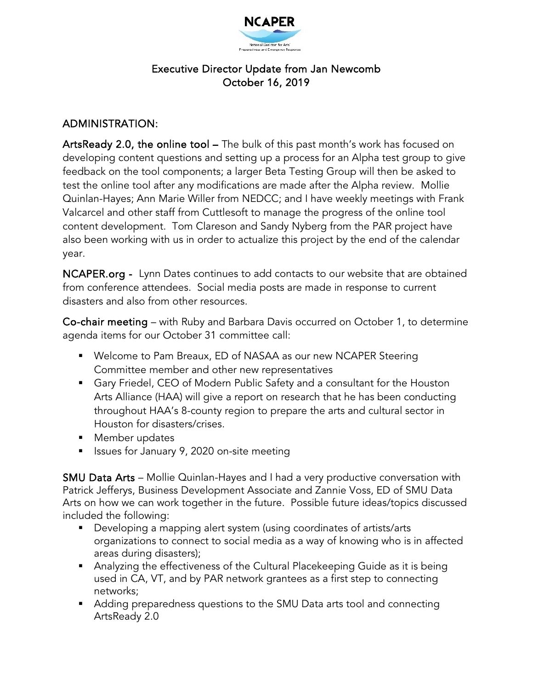

## Executive Director Update from Jan Newcomb October 16, 2019

## ADMINISTRATION:

ArtsReady 2.0, the online tool – The bulk of this past month's work has focused on developing content questions and setting up a process for an Alpha test group to give feedback on the tool components; a larger Beta Testing Group will then be asked to test the online tool after any modifications are made after the Alpha review. Mollie Quinlan-Hayes; Ann Marie Willer from NEDCC; and I have weekly meetings with Frank Valcarcel and other staff from Cuttlesoft to manage the progress of the online tool content development. Tom Clareson and Sandy Nyberg from the PAR project have also been working with us in order to actualize this project by the end of the calendar year.

NCAPER.org - Lynn Dates continues to add contacts to our website that are obtained from conference attendees. Social media posts are made in response to current disasters and also from other resources.

Co-chair meeting – with Ruby and Barbara Davis occurred on October 1, to determine agenda items for our October 31 committee call:

- Welcome to Pam Breaux, ED of NASAA as our new NCAPER Steering Committee member and other new representatives
- Gary Friedel, CEO of Modern Public Safety and a consultant for the Houston Arts Alliance (HAA) will give a report on research that he has been conducting throughout HAA's 8-county region to prepare the arts and cultural sector in Houston for disasters/crises.
- **Member updates**
- Issues for January 9, 2020 on-site meeting

SMU Data Arts – Mollie Quinlan-Hayes and I had a very productive conversation with Patrick Jefferys, Business Development Associate and Zannie Voss, ED of SMU Data Arts on how we can work together in the future. Possible future ideas/topics discussed included the following:

- Developing a mapping alert system (using coordinates of artists/arts organizations to connect to social media as a way of knowing who is in affected areas during disasters);
- Analyzing the effectiveness of the Cultural Placekeeping Guide as it is being used in CA, VT, and by PAR network grantees as a first step to connecting networks;
- Adding preparedness questions to the SMU Data arts tool and connecting ArtsReady 2.0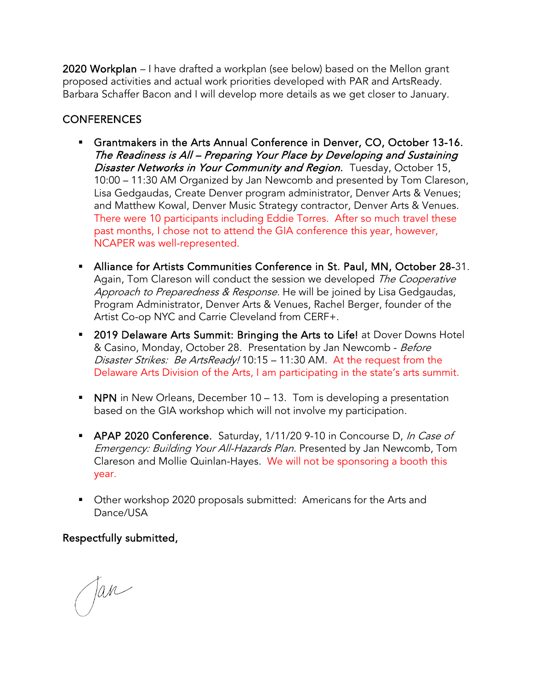2020 Workplan – I have drafted a workplan (see below) based on the Mellon grant proposed activities and actual work priorities developed with PAR and ArtsReady. Barbara Schaffer Bacon and I will develop more details as we get closer to January.

# **CONFERENCES**

- Grantmakers in the Arts Annual Conference in Denver, CO, October 13-16. The Readiness is All – Preparing Your Place by Developing and Sustaining Disaster Networks in Your Community and Region. Tuesday, October 15, 10:00 – 11:30 AM Organized by Jan Newcomb and presented by Tom Clareson, Lisa Gedgaudas, Create Denver program administrator, Denver Arts & Venues; and Matthew Kowal, Denver Music Strategy contractor, Denver Arts & Venues. There were 10 participants including Eddie Torres. After so much travel these past months, I chose not to attend the GIA conference this year, however, NCAPER was well-represented.
- Alliance for Artists Communities Conference in St. Paul, MN, October 28-31. Again, Tom Clareson will conduct the session we developed The Cooperative Approach to Preparedness & Response. He will be joined by Lisa Gedgaudas, Program Administrator, Denver Arts & Venues, Rachel Berger, founder of the Artist Co-op NYC and Carrie Cleveland from CERF+.
- **2019 Delaware Arts Summit: Bringing the Arts to Life!** at Dover Downs Hotel & Casino, Monday, October 28. Presentation by Jan Newcomb - Before Disaster Strikes: Be ArtsReady! 10:15 - 11:30 AM. At the request from the Delaware Arts Division of the Arts, I am participating in the state's arts summit.
- **NPN** in New Orleans, December 10 13. Tom is developing a presentation based on the GIA workshop which will not involve my participation.
- APAP 2020 Conference. Saturday, 1/11/20 9-10 in Concourse D, In Case of Emergency: Building Your All-Hazards Plan. Presented by Jan Newcomb, Tom Clareson and Mollie Quinlan-Hayes. We will not be sponsoring a booth this year.
- **Diana Edger** Other workshop 2020 proposals submitted: Americans for the Arts and Dance/USA

Respectfully submitted,

Jan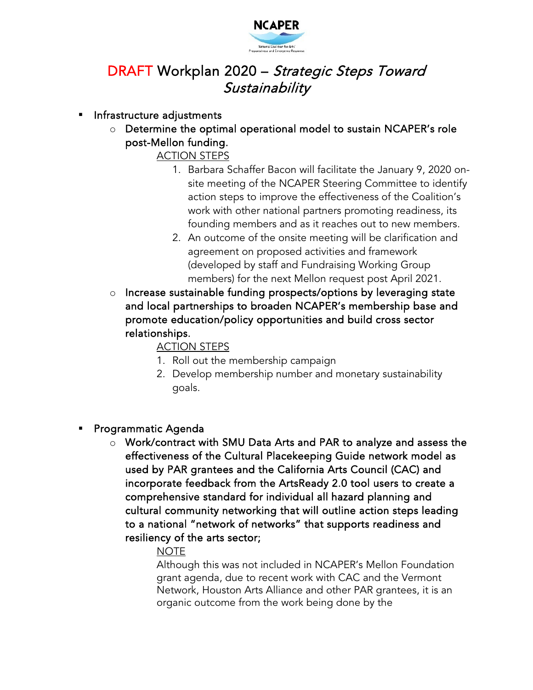

# DRAFT Workplan 2020 – Strategic Steps Toward **Sustainability**

## Infrastructure adjustments

o Determine the optimal operational model to sustain NCAPER's role post-Mellon funding.

ACTION STEPS

- 1. Barbara Schaffer Bacon will facilitate the January 9, 2020 onsite meeting of the NCAPER Steering Committee to identify action steps to improve the effectiveness of the Coalition's work with other national partners promoting readiness, its founding members and as it reaches out to new members.
- 2. An outcome of the onsite meeting will be clarification and agreement on proposed activities and framework (developed by staff and Fundraising Working Group members) for the next Mellon request post April 2021.
- o Increase sustainable funding prospects/options by leveraging state and local partnerships to broaden NCAPER's membership base and promote education/policy opportunities and build cross sector relationships.

ACTION STEPS

- 1. Roll out the membership campaign
- 2. Develop membership number and monetary sustainability goals.
- Programmatic Agenda
	- o Work/contract with SMU Data Arts and PAR to analyze and assess the effectiveness of the Cultural Placekeeping Guide network model as used by PAR grantees and the California Arts Council (CAC) and incorporate feedback from the ArtsReady 2.0 tool users to create a comprehensive standard for individual all hazard planning and cultural community networking that will outline action steps leading to a national "network of networks" that supports readiness and resiliency of the arts sector;

## NOTE

 Although this was not included in NCAPER's Mellon Foundation grant agenda, due to recent work with CAC and the Vermont Network, Houston Arts Alliance and other PAR grantees, it is an organic outcome from the work being done by the